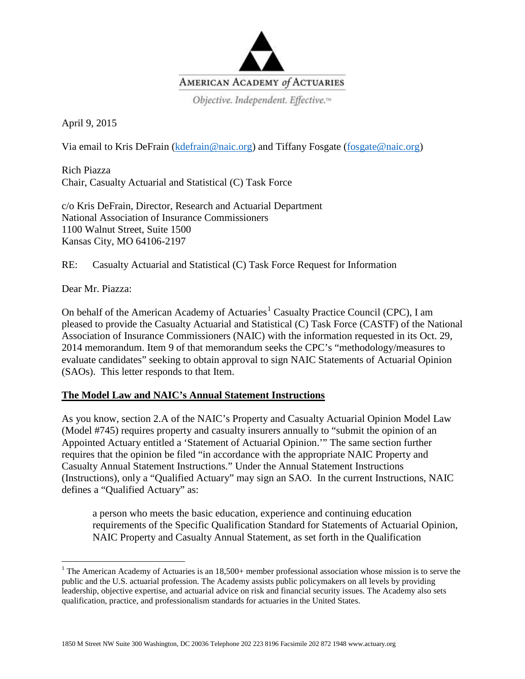

Objective. Independent. Effective.<sup>14</sup>

April 9, 2015

Via email to Kris DeFrain [\(kdefrain@naic.org\)](mailto:mwong@naic.org) and Tiffany Fosgate [\(fosgate@naic.org\)](mailto:fosgate@naic.org)

Rich Piazza Chair, Casualty Actuarial and Statistical (C) Task Force

c/o Kris DeFrain, Director, Research and Actuarial Department National Association of Insurance Commissioners 1100 Walnut Street, Suite 1500 Kansas City, MO 64106-2197

RE: Casualty Actuarial and Statistical (C) Task Force Request for Information

Dear Mr. Piazza:

On behalf of the American Academy of Actuaries<sup>[1](#page-0-0)</sup> Casualty Practice Council (CPC), I am pleased to provide the Casualty Actuarial and Statistical (C) Task Force (CASTF) of the National Association of Insurance Commissioners (NAIC) with the information requested in its Oct. 29, 2014 memorandum. Item 9 of that memorandum seeks the CPC's "methodology/measures to evaluate candidates" seeking to obtain approval to sign NAIC Statements of Actuarial Opinion (SAOs). This letter responds to that Item.

## **The Model Law and NAIC's Annual Statement Instructions**

As you know, section 2.A of the NAIC's Property and Casualty Actuarial Opinion Model Law (Model #745) requires property and casualty insurers annually to "submit the opinion of an Appointed Actuary entitled a 'Statement of Actuarial Opinion.'" The same section further requires that the opinion be filed "in accordance with the appropriate NAIC Property and Casualty Annual Statement Instructions." Under the Annual Statement Instructions (Instructions), only a "Qualified Actuary" may sign an SAO. In the current Instructions, NAIC defines a "Qualified Actuary" as:

a person who meets the basic education, experience and continuing education requirements of the Specific Qualification Standard for Statements of Actuarial Opinion, NAIC Property and Casualty Annual Statement, as set forth in the Qualification

<span id="page-0-0"></span><sup>&</sup>lt;sup>1</sup> The American Academy of Actuaries is an  $18,500+$  member professional association whose mission is to serve the public and the U.S. actuarial profession. The Academy assists public policymakers on all levels by providing leadership, objective expertise, and actuarial advice on risk and financial security issues. The Academy also sets qualification, practice, and professionalism standards for actuaries in the United States.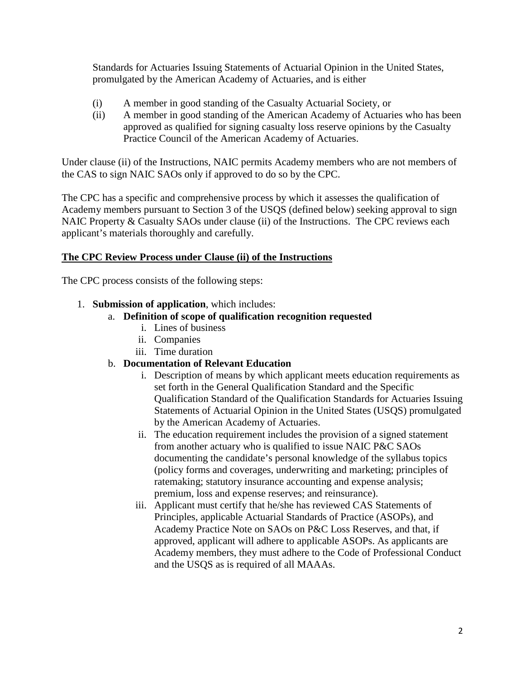Standards for Actuaries Issuing Statements of Actuarial Opinion in the United States, promulgated by the American Academy of Actuaries, and is either

- (i) A member in good standing of the Casualty Actuarial Society, or
- (ii) A member in good standing of the American Academy of Actuaries who has been approved as qualified for signing casualty loss reserve opinions by the Casualty Practice Council of the American Academy of Actuaries.

Under clause (ii) of the Instructions, NAIC permits Academy members who are not members of the CAS to sign NAIC SAOs only if approved to do so by the CPC.

The CPC has a specific and comprehensive process by which it assesses the qualification of Academy members pursuant to Section 3 of the USQS (defined below) seeking approval to sign NAIC Property & Casualty SAOs under clause (ii) of the Instructions. The CPC reviews each applicant's materials thoroughly and carefully.

## **The CPC Review Process under Clause (ii) of the Instructions**

The CPC process consists of the following steps:

- 1. **Submission of application**, which includes:
	- a. **Definition of scope of qualification recognition requested**
		- i. Lines of business
		- ii. Companies
		- iii. Time duration

## b. **Documentation of Relevant Education**

- i. Description of means by which applicant meets education requirements as set forth in the General Qualification Standard and the Specific Qualification Standard of the Qualification Standards for Actuaries Issuing Statements of Actuarial Opinion in the United States (USQS) promulgated by the American Academy of Actuaries.
- ii. The education requirement includes the provision of a signed statement from another actuary who is qualified to issue NAIC P&C SAOs documenting the candidate's personal knowledge of the syllabus topics (policy forms and coverages, underwriting and marketing; principles of ratemaking; statutory insurance accounting and expense analysis; premium, loss and expense reserves; and reinsurance).
- iii. Applicant must certify that he/she has reviewed CAS Statements of Principles, applicable Actuarial Standards of Practice (ASOPs), and Academy Practice Note on SAOs on P&C Loss Reserves, and that, if approved, applicant will adhere to applicable ASOPs. As applicants are Academy members, they must adhere to the Code of Professional Conduct and the USQS as is required of all MAAAs.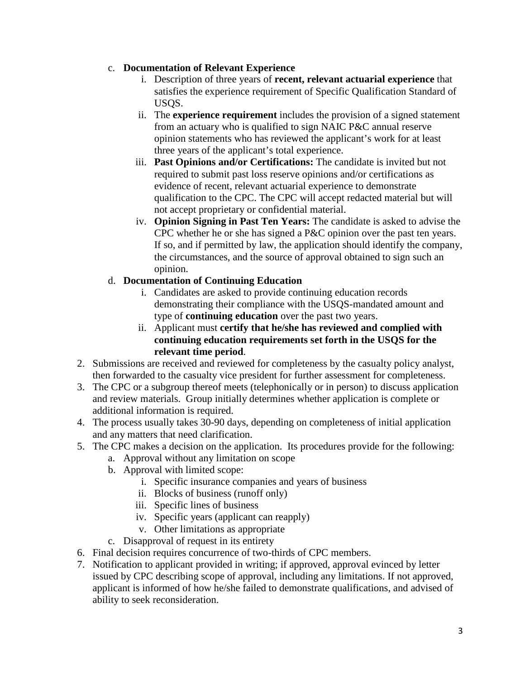## c. **Documentation of Relevant Experience**

- i. Description of three years of **recent, relevant actuarial experience** that satisfies the experience requirement of Specific Qualification Standard of USQS.
- ii. The **experience requirement** includes the provision of a signed statement from an actuary who is qualified to sign NAIC P&C annual reserve opinion statements who has reviewed the applicant's work for at least three years of the applicant's total experience.
- iii. **Past Opinions and/or Certifications:** The candidate is invited but not required to submit past loss reserve opinions and/or certifications as evidence of recent, relevant actuarial experience to demonstrate qualification to the CPC. The CPC will accept redacted material but will not accept proprietary or confidential material.
- iv. **Opinion Signing in Past Ten Years:** The candidate is asked to advise the CPC whether he or she has signed a P&C opinion over the past ten years. If so, and if permitted by law, the application should identify the company, the circumstances, and the source of approval obtained to sign such an opinion.
- d. **Documentation of Continuing Education**
	- i. Candidates are asked to provide continuing education records demonstrating their compliance with the USQS-mandated amount and type of **continuing education** over the past two years.
	- ii. Applicant must **certify that he/she has reviewed and complied with continuing education requirements set forth in the USQS for the relevant time period**.
- 2. Submissions are received and reviewed for completeness by the casualty policy analyst, then forwarded to the casualty vice president for further assessment for completeness.
- 3. The CPC or a subgroup thereof meets (telephonically or in person) to discuss application and review materials. Group initially determines whether application is complete or additional information is required.
- 4. The process usually takes 30-90 days, depending on completeness of initial application and any matters that need clarification.
- 5. The CPC makes a decision on the application. Its procedures provide for the following:
	- a. Approval without any limitation on scope
	- b. Approval with limited scope:
		- i. Specific insurance companies and years of business
		- ii. Blocks of business (runoff only)
		- iii. Specific lines of business
		- iv. Specific years (applicant can reapply)
		- v. Other limitations as appropriate
	- c. Disapproval of request in its entirety
- 6. Final decision requires concurrence of two-thirds of CPC members.
- 7. Notification to applicant provided in writing; if approved, approval evinced by letter issued by CPC describing scope of approval, including any limitations. If not approved, applicant is informed of how he/she failed to demonstrate qualifications, and advised of ability to seek reconsideration.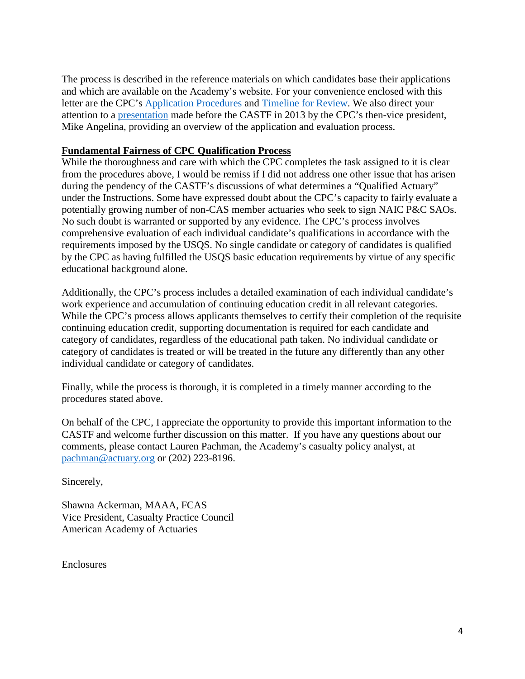The process is described in the reference materials on which candidates base their applications and which are available on the Academy's website. For your convenience enclosed with this letter are the CPC's [Application Procedures](http://actuary.org/files/publications/qualify_06.pdf) and [Timeline for Review.](http://www.actuary.org/casualty/qualify_timeline.pdf) We also direct your attention to a [presentation](http://actuary.org/files/CPC_Presentation_to_CASTF_on_CPC_Application_Procedures_8.14.13.pdf) made before the CASTF in 2013 by the CPC's then-vice president, Mike Angelina, providing an overview of the application and evaluation process.

## **Fundamental Fairness of CPC Qualification Process**

While the thoroughness and care with which the CPC completes the task assigned to it is clear from the procedures above, I would be remiss if I did not address one other issue that has arisen during the pendency of the CASTF's discussions of what determines a "Qualified Actuary" under the Instructions. Some have expressed doubt about the CPC's capacity to fairly evaluate a potentially growing number of non-CAS member actuaries who seek to sign NAIC P&C SAOs. No such doubt is warranted or supported by any evidence. The CPC's process involves comprehensive evaluation of each individual candidate's qualifications in accordance with the requirements imposed by the USQS. No single candidate or category of candidates is qualified by the CPC as having fulfilled the USQS basic education requirements by virtue of any specific educational background alone.

Additionally, the CPC's process includes a detailed examination of each individual candidate's work experience and accumulation of continuing education credit in all relevant categories. While the CPC's process allows applicants themselves to certify their completion of the requisite continuing education credit, supporting documentation is required for each candidate and category of candidates, regardless of the educational path taken. No individual candidate or category of candidates is treated or will be treated in the future any differently than any other individual candidate or category of candidates.

Finally, while the process is thorough, it is completed in a timely manner according to the procedures stated above.

On behalf of the CPC, I appreciate the opportunity to provide this important information to the CASTF and welcome further discussion on this matter. If you have any questions about our comments, please contact Lauren Pachman, the Academy's casualty policy analyst, at [pachman@actuary.org](mailto:pachman@actuary.org) or (202) 223-8196.

Sincerely,

Shawna Ackerman, MAAA, FCAS Vice President, Casualty Practice Council American Academy of Actuaries

Enclosures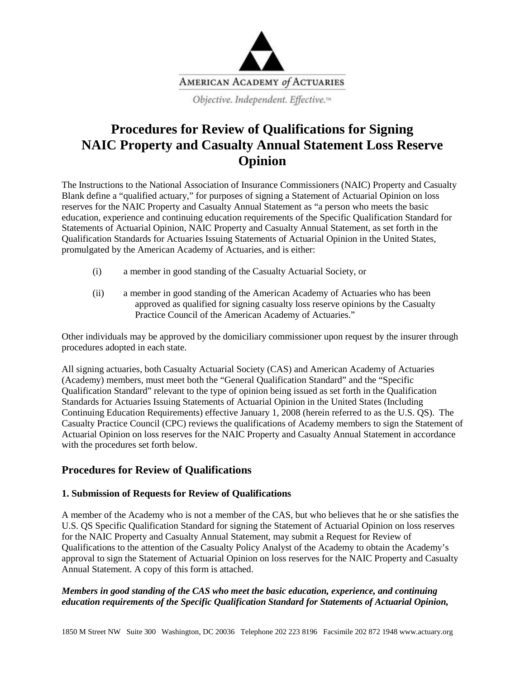

## **Procedures for Review of Qualifications for Signing NAIC Property and Casualty Annual Statement Loss Reserve Opinion**

The Instructions to the National Association of Insurance Commissioners (NAIC) Property and Casualty Blank define a "qualified actuary," for purposes of signing a Statement of Actuarial Opinion on loss reserves for the NAIC Property and Casualty Annual Statement as "a person who meets the basic education, experience and continuing education requirements of the Specific Qualification Standard for Statements of Actuarial Opinion, NAIC Property and Casualty Annual Statement, as set forth in the Qualification Standards for Actuaries Issuing Statements of Actuarial Opinion in the United States, promulgated by the American Academy of Actuaries, and is either:

- (i) a member in good standing of the Casualty Actuarial Society, or
- (ii) a member in good standing of the American Academy of Actuaries who has been approved as qualified for signing casualty loss reserve opinions by the Casualty Practice Council of the American Academy of Actuaries."

Other individuals may be approved by the domiciliary commissioner upon request by the insurer through procedures adopted in each state.

All signing actuaries, both Casualty Actuarial Society (CAS) and American Academy of Actuaries (Academy) members, must meet both the "General Qualification Standard" and the "Specific Qualification Standard" relevant to the type of opinion being issued as set forth in the Qualification Standards for Actuaries Issuing Statements of Actuarial Opinion in the United States (Including Continuing Education Requirements) effective January 1, 2008 (herein referred to as the U.S. QS). The Casualty Practice Council (CPC) reviews the qualifications of Academy members to sign the Statement of Actuarial Opinion on loss reserves for the NAIC Property and Casualty Annual Statement in accordance with the procedures set forth below.

## **Procedures for Review of Qualifications**

### **1. Submission of Requests for Review of Qualifications**

A member of the Academy who is not a member of the CAS, but who believes that he or she satisfies the U.S. QS Specific Qualification Standard for signing the Statement of Actuarial Opinion on loss reserves for the NAIC Property and Casualty Annual Statement, may submit a Request for Review of Qualifications to the attention of the Casualty Policy Analyst of the Academy to obtain the Academy's approval to sign the Statement of Actuarial Opinion on loss reserves for the NAIC Property and Casualty Annual Statement. A copy of this form is attached.

### *Members in good standing of the CAS who meet the basic education, experience, and continuing education requirements of the Specific Qualification Standard for Statements of Actuarial Opinion,*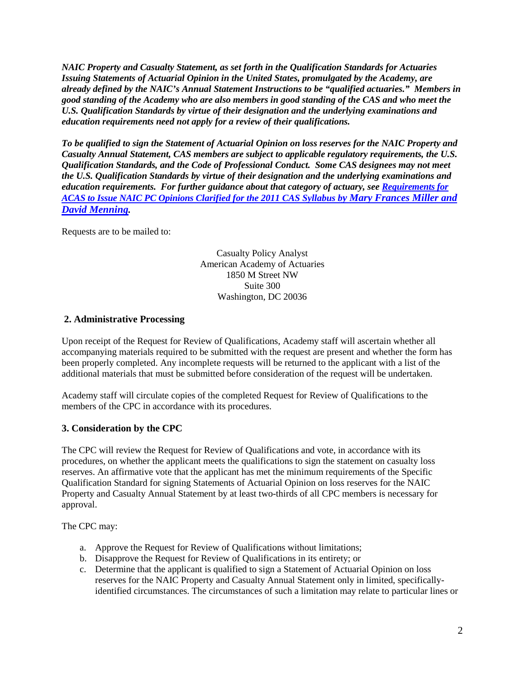*NAIC Property and Casualty Statement, as set forth in the Qualification Standards for Actuaries Issuing Statements of Actuarial Opinion in the United States, promulgated by the Academy, are already defined by the NAIC's Annual Statement Instructions to be "qualified actuaries." Members in good standing of the Academy who are also members in good standing of the CAS and who meet the U.S. Qualification Standards by virtue of their designation and the underlying examinations and education requirements need not apply for a review of their qualifications.*

*To be qualified to sign the Statement of Actuarial Opinion on loss reserves for the NAIC Property and Casualty Annual Statement, CAS members are subject to applicable regulatory requirements, the U.S. Qualification Standards, and the Code of Professional Conduct. Some CAS designees may not meet the U.S. Qualification Standards by virtue of their designation and the underlying examinations and education requirements. For further guidance about that category of actuary, see [Requirements for](http://www.casact.org/newsletter/index.cfm?fa=viewart&id=5789)  ACAS [to Issue NAIC PC Opinions Clarified for the 2011 CAS Syllabus by](http://www.casact.org/newsletter/index.cfm?fa=viewart&id=5789) Mary Frances Miller and [David Menning.](http://www.casact.org/newsletter/index.cfm?fa=viewart&id=5789)*

Requests are to be mailed to:

Casualty Policy Analyst American Academy of Actuaries 1850 M Street NW Suite 300 Washington, DC 20036

## **2. Administrative Processing**

Upon receipt of the Request for Review of Qualifications, Academy staff will ascertain whether all accompanying materials required to be submitted with the request are present and whether the form has been properly completed. Any incomplete requests will be returned to the applicant with a list of the additional materials that must be submitted before consideration of the request will be undertaken.

Academy staff will circulate copies of the completed Request for Review of Qualifications to the members of the CPC in accordance with its procedures.

### **3. Consideration by the CPC**

The CPC will review the Request for Review of Qualifications and vote, in accordance with its procedures, on whether the applicant meets the qualifications to sign the statement on casualty loss reserves. An affirmative vote that the applicant has met the minimum requirements of the Specific Qualification Standard for signing Statements of Actuarial Opinion on loss reserves for the NAIC Property and Casualty Annual Statement by at least two-thirds of all CPC members is necessary for approval.

The CPC may:

- a. Approve the Request for Review of Qualifications without limitations;
- b. Disapprove the Request for Review of Qualifications in its entirety; or
- c. Determine that the applicant is qualified to sign a Statement of Actuarial Opinion on loss reserves for the NAIC Property and Casualty Annual Statement only in limited, specificallyidentified circumstances. The circumstances of such a limitation may relate to particular lines or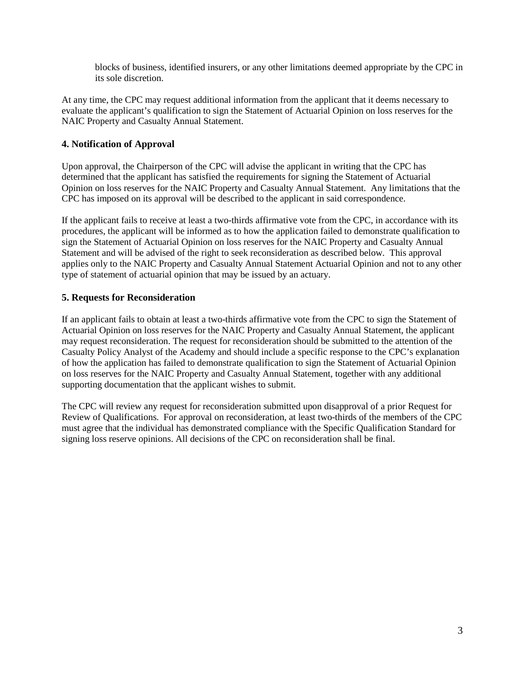blocks of business, identified insurers, or any other limitations deemed appropriate by the CPC in its sole discretion.

At any time, the CPC may request additional information from the applicant that it deems necessary to evaluate the applicant's qualification to sign the Statement of Actuarial Opinion on loss reserves for the NAIC Property and Casualty Annual Statement.

### **4. Notification of Approval**

Upon approval, the Chairperson of the CPC will advise the applicant in writing that the CPC has determined that the applicant has satisfied the requirements for signing the Statement of Actuarial Opinion on loss reserves for the NAIC Property and Casualty Annual Statement. Any limitations that the CPC has imposed on its approval will be described to the applicant in said correspondence.

If the applicant fails to receive at least a two-thirds affirmative vote from the CPC, in accordance with its procedures, the applicant will be informed as to how the application failed to demonstrate qualification to sign the Statement of Actuarial Opinion on loss reserves for the NAIC Property and Casualty Annual Statement and will be advised of the right to seek reconsideration as described below. This approval applies only to the NAIC Property and Casualty Annual Statement Actuarial Opinion and not to any other type of statement of actuarial opinion that may be issued by an actuary.

### **5. Requests for Reconsideration**

If an applicant fails to obtain at least a two-thirds affirmative vote from the CPC to sign the Statement of Actuarial Opinion on loss reserves for the NAIC Property and Casualty Annual Statement, the applicant may request reconsideration. The request for reconsideration should be submitted to the attention of the Casualty Policy Analyst of the Academy and should include a specific response to the CPC's explanation of how the application has failed to demonstrate qualification to sign the Statement of Actuarial Opinion on loss reserves for the NAIC Property and Casualty Annual Statement, together with any additional supporting documentation that the applicant wishes to submit.

The CPC will review any request for reconsideration submitted upon disapproval of a prior Request for Review of Qualifications. For approval on reconsideration, at least two-thirds of the members of the CPC must agree that the individual has demonstrated compliance with the Specific Qualification Standard for signing loss reserve opinions. All decisions of the CPC on reconsideration shall be final.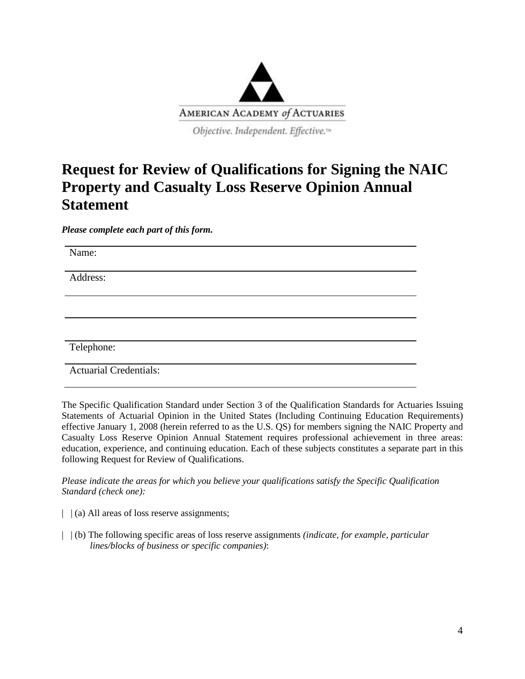

## **Request for Review of Qualifications for Signing the NAIC Property and Casualty Loss Reserve Opinion Annual Statement**

*Please complete each part of this form.* 

Name:

Address:

Telephone:

Actuarial Credentials:

The Specific Qualification Standard under Section 3 of the Qualification Standards for Actuaries Issuing Statements of Actuarial Opinion in the United States (Including Continuing Education Requirements) effective January 1, 2008 (herein referred to as the U.S. QS) for members signing the NAIC Property and Casualty Loss Reserve Opinion Annual Statement requires professional achievement in three areas: education, experience, and continuing education. Each of these subjects constitutes a separate part in this following Request for Review of Qualifications.

*Please indicate the areas for which you believe your qualifications satisfy the Specific Qualification Standard (check one):* 

- |  $\vert$  (a) All areas of loss reserve assignments;
- | | (b) The following specific areas of loss reserve assignments *(indicate, for example, particular lines/blocks of business or specific companies)*: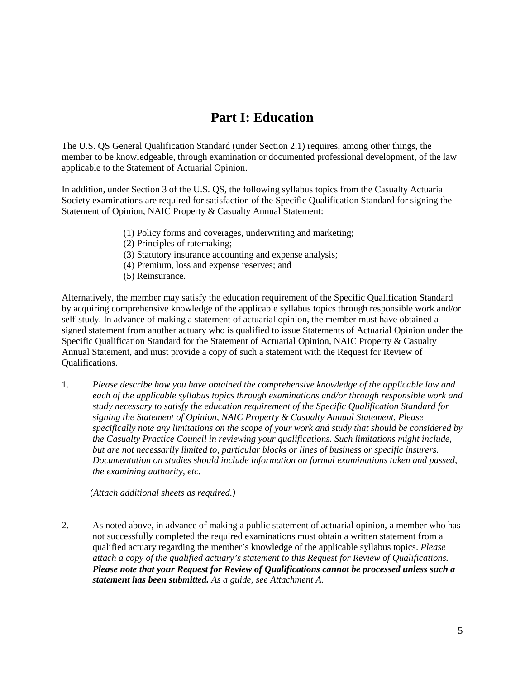## **Part I: Education**

The U.S. QS General Qualification Standard (under Section 2.1) requires, among other things, the member to be knowledgeable, through examination or documented professional development, of the law applicable to the Statement of Actuarial Opinion.

In addition, under Section 3 of the U.S. QS, the following syllabus topics from the Casualty Actuarial Society examinations are required for satisfaction of the Specific Qualification Standard for signing the Statement of Opinion, NAIC Property & Casualty Annual Statement:

- (1) Policy forms and coverages, underwriting and marketing;
- (2) Principles of ratemaking;
- (3) Statutory insurance accounting and expense analysis;
- (4) Premium, loss and expense reserves; and
- (5) Reinsurance.

Alternatively, the member may satisfy the education requirement of the Specific Qualification Standard by acquiring comprehensive knowledge of the applicable syllabus topics through responsible work and/or self-study. In advance of making a statement of actuarial opinion, the member must have obtained a signed statement from another actuary who is qualified to issue Statements of Actuarial Opinion under the Specific Qualification Standard for the Statement of Actuarial Opinion, NAIC Property & Casualty Annual Statement, and must provide a copy of such a statement with the Request for Review of Qualifications.

1. *Please describe how you have obtained the comprehensive knowledge of the applicable law and each of the applicable syllabus topics through examinations and/or through responsible work and study necessary to satisfy the education requirement of the Specific Qualification Standard for signing the Statement of Opinion, NAIC Property & Casualty Annual Statement. Please specifically note any limitations on the scope of your work and study that should be considered by the Casualty Practice Council in reviewing your qualifications. Such limitations might include, but are not necessarily limited to, particular blocks or lines of business or specific insurers. Documentation on studies should include information on formal examinations taken and passed, the examining authority, etc.* 

(*Attach additional sheets as required.)*

2. As noted above, in advance of making a public statement of actuarial opinion, a member who has not successfully completed the required examinations must obtain a written statement from a qualified actuary regarding the member's knowledge of the applicable syllabus topics. *Please attach a copy of the qualified actuary's statement to this Request for Review of Qualifications. Please note that your Request for Review of Qualifications cannot be processed unless such a statement has been submitted. As a guide, see Attachment A.*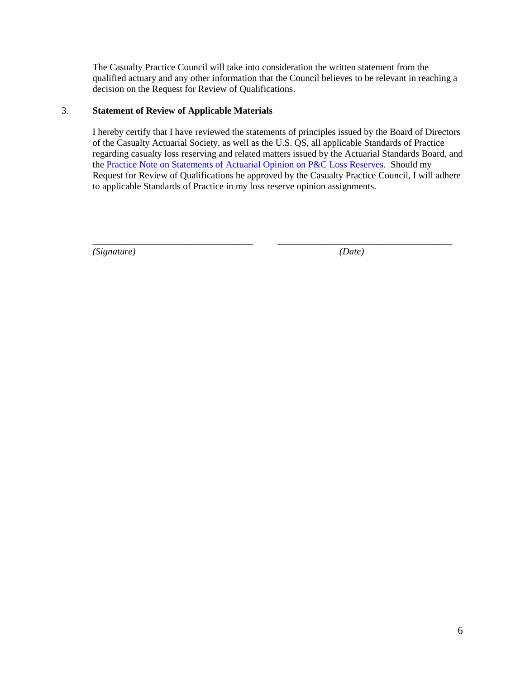The Casualty Practice Council will take into consideration the written statement from the qualified actuary and any other information that the Council believes to be relevant in reaching a decision on the Request for Review of Qualifications.

### 3. **Statement of Review of Applicable Materials**

I hereby certify that I have reviewed the statements of principles issued by the Board of Directors of the Casualty Actuarial Society, as well as the U.S. QS, all applicable Standards of Practice regarding casualty loss reserving and related matters issued by the Actuarial Standards Board, and the [Practice Note on Statements of Actuarial Opinion on P&C Loss Reserves.](http://actuary.org/files/2013_PC_Loss_Reserve_Practice_Note_12.23.13.pdf) Should my Request for Review of Qualifications be approved by the Casualty Practice Council, I will adhere to applicable Standards of Practice in my loss reserve opinion assignments.

*\_\_\_\_\_\_\_\_\_\_\_\_\_\_\_\_\_\_\_\_\_\_\_\_\_\_\_\_\_\_\_\_\_\_ \_\_\_\_\_\_\_\_\_\_\_\_\_\_\_\_\_\_\_\_\_\_\_\_\_\_\_\_\_\_\_\_\_\_\_\_\_*

*(Signature) (Date)*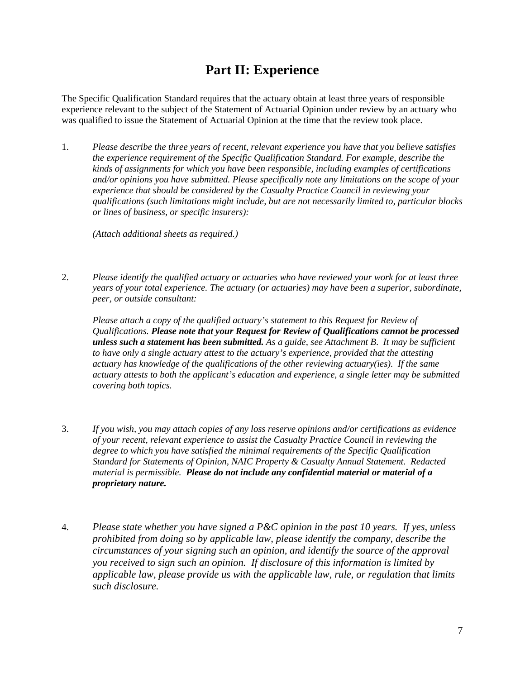## **Part II: Experience**

The Specific Qualification Standard requires that the actuary obtain at least three years of responsible experience relevant to the subject of the Statement of Actuarial Opinion under review by an actuary who was qualified to issue the Statement of Actuarial Opinion at the time that the review took place.

1. *Please describe the three years of recent, relevant experience you have that you believe satisfies the experience requirement of the Specific Qualification Standard. For example, describe the kinds of assignments for which you have been responsible, including examples of certifications and/or opinions you have submitted. Please specifically note any limitations on the scope of your experience that should be considered by the Casualty Practice Council in reviewing your qualifications (such limitations might include, but are not necessarily limited to, particular blocks or lines of business, or specific insurers):* 

*(Attach additional sheets as required.)* 

2. *Please identify the qualified actuary or actuaries who have reviewed your work for at least three years of your total experience. The actuary (or actuaries) may have been a superior, subordinate, peer, or outside consultant:* 

*Please attach a copy of the qualified actuary's statement to this Request for Review of Qualifications. Please note that your Request for Review of Qualifications cannot be processed unless such a statement has been submitted. As a guide, see Attachment B*. *It may be sufficient to have only a single actuary attest to the actuary's experience, provided that the attesting actuary has knowledge of the qualifications of the other reviewing actuary(ies). If the same actuary attests to both the applicant's education and experience, a single letter may be submitted covering both topics.*

- 3. *If you wish, you may attach copies of any loss reserve opinions and/or certifications as evidence of your recent, relevant experience to assist the Casualty Practice Council in reviewing the degree to which you have satisfied the minimal requirements of the Specific Qualification Standard for Statements of Opinion, NAIC Property & Casualty Annual Statement. Redacted material is permissible. Please do not include any confidential material or material of a proprietary nature.*
- 4. *Please state whether you have signed a P&C opinion in the past 10 years. If yes, unless prohibited from doing so by applicable law, please identify the company, describe the circumstances of your signing such an opinion, and identify the source of the approval you received to sign such an opinion. If disclosure of this information is limited by applicable law, please provide us with the applicable law, rule, or regulation that limits such disclosure.*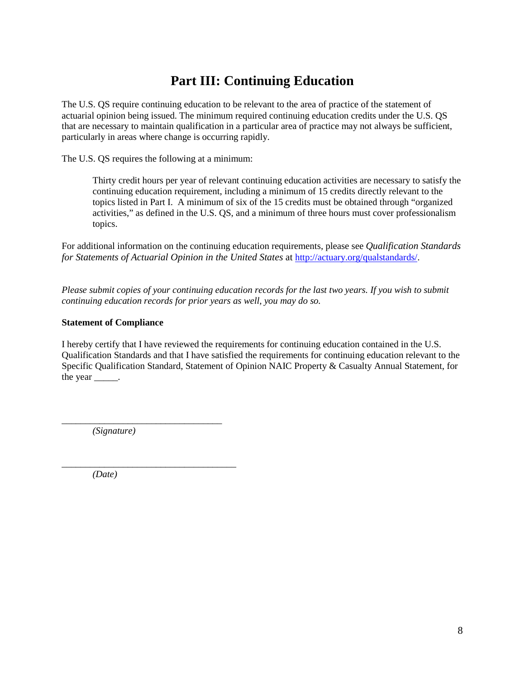## **Part III: Continuing Education**

The U.S. QS require continuing education to be relevant to the area of practice of the statement of actuarial opinion being issued. The minimum required continuing education credits under the U.S. QS that are necessary to maintain qualification in a particular area of practice may not always be sufficient, particularly in areas where change is occurring rapidly.

The U.S. QS requires the following at a minimum:

Thirty credit hours per year of relevant continuing education activities are necessary to satisfy the continuing education requirement, including a minimum of 15 credits directly relevant to the topics listed in Part I. A minimum of six of the 15 credits must be obtained through "organized activities," as defined in the U.S. QS, and a minimum of three hours must cover professionalism topics.

For additional information on the continuing education requirements, please see *Qualification Standards for Statements of Actuarial Opinion in the United States* at [http://actuary.org/qualstandards/.](http://actuary.org/qualstandards/)

*Please submit copies of your continuing education records for the last two years. If you wish to submit continuing education records for prior years as well, you may do so.* 

### **Statement of Compliance**

I hereby certify that I have reviewed the requirements for continuing education contained in the U.S. Qualification Standards and that I have satisfied the requirements for continuing education relevant to the Specific Qualification Standard, Statement of Opinion NAIC Property & Casualty Annual Statement, for the year \_\_\_\_\_\_.

*\_\_\_\_\_\_\_\_\_\_\_\_\_\_\_\_\_\_\_\_\_\_\_\_\_\_\_\_\_\_\_\_\_\_ (Signature)*

*\_\_\_\_\_\_\_\_\_\_\_\_\_\_\_\_\_\_\_\_\_\_\_\_\_\_\_\_\_\_\_\_\_\_\_\_\_*

*(Date)*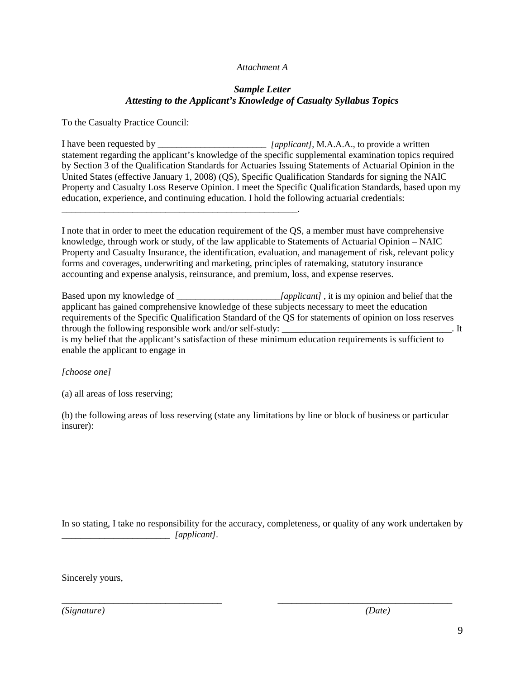#### *Attachment A*

### *Sample Letter Attesting to the Applicant's Knowledge of Casualty Syllabus Topics*

To the Casualty Practice Council:

\_\_\_\_\_\_\_\_\_\_\_\_\_\_\_\_\_\_\_\_\_\_\_\_\_\_\_\_\_\_\_\_\_\_\_\_\_\_\_\_\_\_\_\_\_\_\_\_\_\_.

I have been requested by \_\_\_\_\_\_\_\_\_\_\_\_\_\_\_\_\_\_\_\_\_\_\_ *[applicant]*, M.A.A.A., to provide a written statement regarding the applicant's knowledge of the specific supplemental examination topics required by Section 3 of the Qualification Standards for Actuaries Issuing Statements of Actuarial Opinion in the United States (effective January 1, 2008) (QS), Specific Qualification Standards for signing the NAIC Property and Casualty Loss Reserve Opinion. I meet the Specific Qualification Standards, based upon my education, experience, and continuing education. I hold the following actuarial credentials:

I note that in order to meet the education requirement of the QS, a member must have comprehensive knowledge, through work or study, of the law applicable to Statements of Actuarial Opinion – NAIC Property and Casualty Insurance, the identification, evaluation, and management of risk, relevant policy forms and coverages, underwriting and marketing, principles of ratemaking, statutory insurance accounting and expense analysis, reinsurance, and premium, loss, and expense reserves.

Based upon my knowledge of \_\_\_\_\_\_\_\_\_\_\_\_\_\_\_\_\_\_\_\_\_\_*[applicant]* , it is my opinion and belief that the applicant has gained comprehensive knowledge of these subjects necessary to meet the education requirements of the Specific Qualification Standard of the QS for statements of opinion on loss reserves through the following responsible work and/or self-study: \_\_\_\_\_\_\_\_\_\_\_\_\_\_\_\_\_\_\_\_\_\_\_\_\_\_\_\_\_\_\_\_\_\_\_. It is my belief that the applicant's satisfaction of these minimum education requirements is sufficient to enable the applicant to engage in

*[choose one]* 

(a) all areas of loss reserving;

(b) the following areas of loss reserving (state any limitations by line or block of business or particular insurer):

In so stating, I take no responsibility for the accuracy, completeness, or quality of any work undertaken by \_\_\_\_\_\_\_\_\_\_\_\_\_\_\_\_\_\_\_\_\_\_\_ *[applicant]*.

*\_\_\_\_\_\_\_\_\_\_\_\_\_\_\_\_\_\_\_\_\_\_\_\_\_\_\_\_\_\_\_\_\_\_ \_\_\_\_\_\_\_\_\_\_\_\_\_\_\_\_\_\_\_\_\_\_\_\_\_\_\_\_\_\_\_\_\_\_\_\_\_*

Sincerely yours,

*(Signature) (Date)*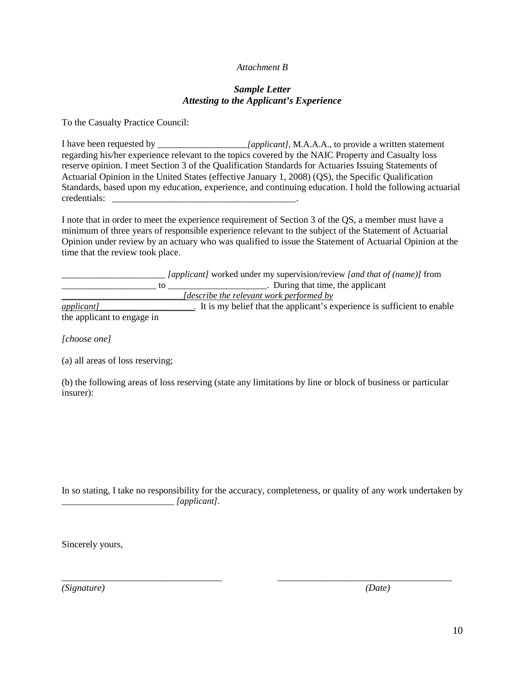#### *Attachment B*

#### *Sample Letter Attesting to the Applicant's Experience*

To the Casualty Practice Council:

I have been requested by \_\_\_\_\_\_\_\_\_\_\_\_\_\_\_\_\_\_\_*[applicant]*, M.A.A.A., to provide a written statement regarding his/her experience relevant to the topics covered by the NAIC Property and Casualty loss reserve opinion. I meet Section 3 of the Qualification Standards for Actuaries Issuing Statements of Actuarial Opinion in the United States (effective January 1, 2008) (QS), the Specific Qualification Standards, based upon my education, experience, and continuing education. I hold the following actuarial credentials: \_\_\_\_\_\_\_\_\_\_\_\_\_\_\_\_\_\_\_\_\_\_\_\_\_\_\_\_\_\_\_\_\_\_\_\_\_\_\_.

I note that in order to meet the experience requirement of Section 3 of the QS, a member must have a minimum of three years of responsible experience relevant to the subject of the Statement of Actuarial Opinion under review by an actuary who was qualified to issue the Statement of Actuarial Opinion at the time that the review took place.

|                            | <i>[applicant]</i> worked under my supervision/review <i>[and that of (name)]</i> from |
|----------------------------|----------------------------------------------------------------------------------------|
|                            | . During that time, the applicant                                                      |
|                            | <i>describe the relevant work performed by</i>                                         |
| $applicant$ ]              | It is my belief that the applicant's experience is sufficient to enable                |
| the applicant to engage in |                                                                                        |

*[choose one]* 

(a) all areas of loss reserving;

(b) the following areas of loss reserving (state any limitations by line or block of business or particular insurer):

In so stating, I take no responsibility for the accuracy, completeness, or quality of any work undertaken by *\_\_\_\_\_\_\_\_\_\_\_\_\_\_\_\_\_\_\_\_\_\_\_\_\_ [applicant]*.

*\_\_\_\_\_\_\_\_\_\_\_\_\_\_\_\_\_\_\_\_\_\_\_\_\_\_\_\_\_\_\_\_\_\_ \_\_\_\_\_\_\_\_\_\_\_\_\_\_\_\_\_\_\_\_\_\_\_\_\_\_\_\_\_\_\_\_\_\_\_\_\_*

Sincerely yours,

*(Signature) (Date)*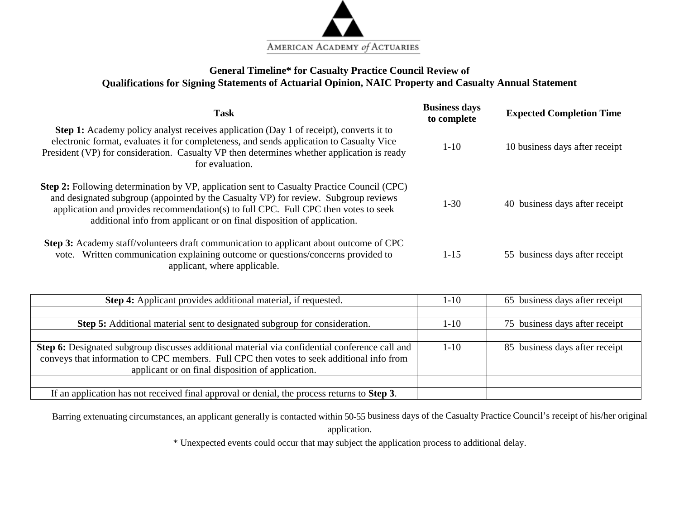

## **General Timeline\* for Casualty Practice Council Review of Qualifications for Signing Statements of Actuarial Opinion, NAIC Property and Casualty Annual Statement**

| <b>Task</b>                                                                                                                                                                                                                                                                                                                                               | <b>Business days</b><br>to complete | <b>Expected Completion Time</b> |  |
|-----------------------------------------------------------------------------------------------------------------------------------------------------------------------------------------------------------------------------------------------------------------------------------------------------------------------------------------------------------|-------------------------------------|---------------------------------|--|
| <b>Step 1:</b> Academy policy analyst receives application (Day 1 of receipt), converts it to<br>electronic format, evaluates it for completeness, and sends application to Casualty Vice<br>President (VP) for consideration. Casualty VP then determines whether application is ready<br>for evaluation.                                                | $1 - 10$                            | 10 business days after receipt  |  |
| <b>Step 2:</b> Following determination by VP, application sent to Casualty Practice Council (CPC)<br>and designated subgroup (appointed by the Casualty VP) for review. Subgroup reviews<br>application and provides recommendation(s) to full CPC. Full CPC then votes to seek<br>additional info from applicant or on final disposition of application. | $1-30$                              | 40 business days after receipt  |  |
| <b>Step 3:</b> Academy staff/volunteers draft communication to applicant about outcome of CPC<br>vote. Written communication explaining outcome or questions/concerns provided to<br>applicant, where applicable.                                                                                                                                         | $1-15$                              | 55 business days after receipt  |  |

| <b>Step 4:</b> Applicant provides additional material, if requested.                                | 1-10     | 65 business days after receipt |
|-----------------------------------------------------------------------------------------------------|----------|--------------------------------|
|                                                                                                     |          |                                |
| Step 5: Additional material sent to designated subgroup for consideration.                          | 1-10     | 75 business days after receipt |
|                                                                                                     |          |                                |
| Step 6: Designated subgroup discusses additional material via confidential conference call and      | $1 - 10$ | 85 business days after receipt |
| conveys that information to CPC members. Full CPC then votes to seek additional info from           |          |                                |
| applicant or on final disposition of application.                                                   |          |                                |
|                                                                                                     |          |                                |
| If an application has not received final approval or denial, the process returns to <b>Step 3</b> . |          |                                |

Barring extenuating circumstances, an applicant generally is contacted within 50-55 business days of the Casualty Practice Council's receipt of his/her original application.

\* Unexpected events could occur that may subject the application process to additional delay.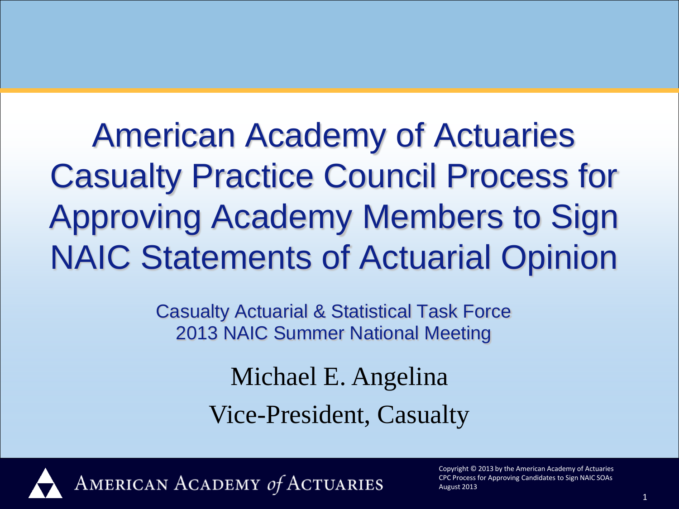American Academy of Actuaries Casualty Practice Council Process for Approving Academy Members to Sign NAIC Statements of Actuarial Opinion

> Casualty Actuarial & Statistical Task Force 2013 NAIC Summer National Meeting

> > Michael E. Angelina Vice-President, Casualty



AMERICAN ACADEMY of ACTUARIES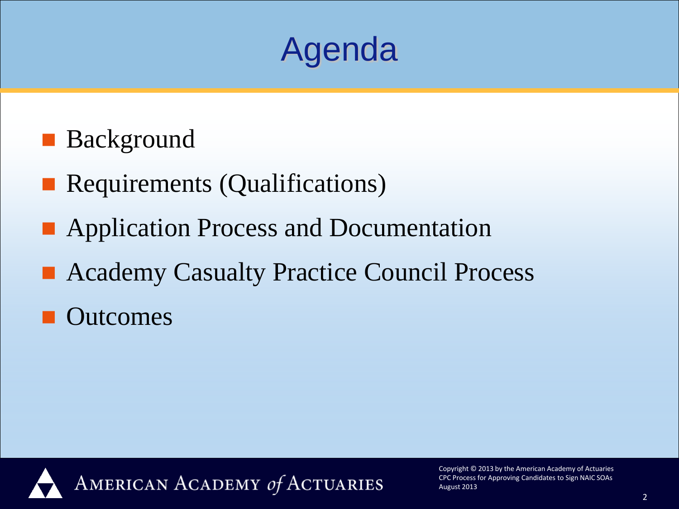

- **Background**
- **Requirements (Qualifications)**
- **Application Process and Documentation**
- Academy Casualty Practice Council Process
- **Outcomes**

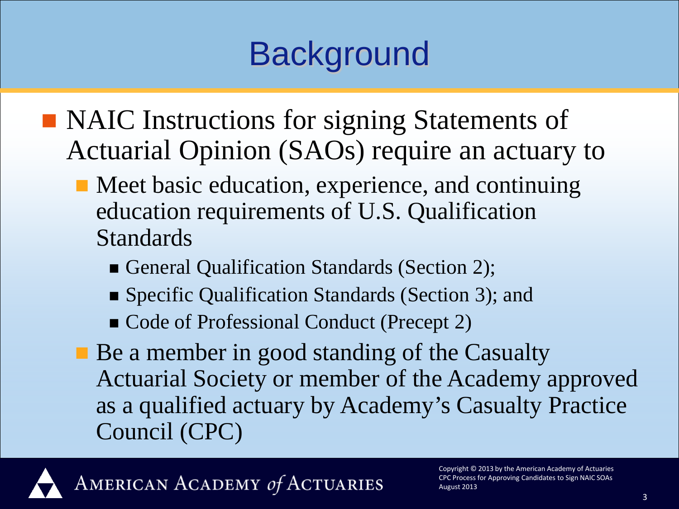# **Background**

- NAIC Instructions for signing Statements of Actuarial Opinion (SAOs) require an actuary to
	- Meet basic education, experience, and continuing education requirements of U.S. Qualification Standards
		- General Qualification Standards (Section 2);
		- Specific Qualification Standards (Section 3); and
		- Code of Professional Conduct (Precept 2)
	- Be a member in good standing of the Casualty Actuarial Society or member of the Academy approved as a qualified actuary by Academy's Casualty Practice Council (CPC)



AMERICAN ACADEMY of ACTUARIES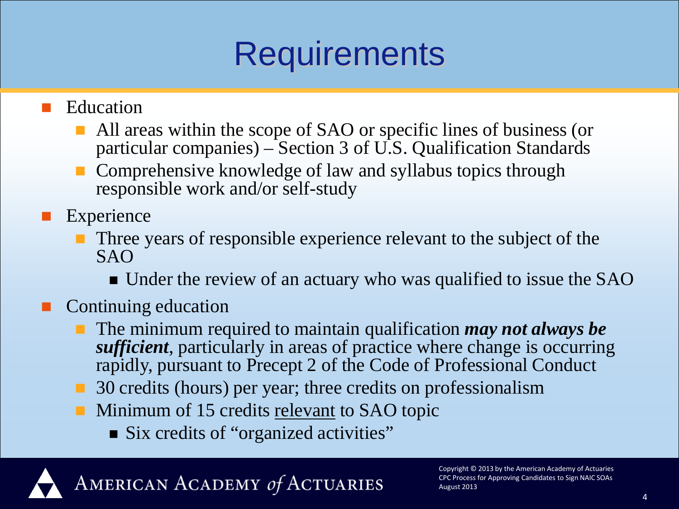## **Requirements**

Education

- All areas within the scope of SAO or specific lines of business (or particular companies) – Section 3 of U.S. Qualification Standards
- Comprehensive knowledge of law and syllabus topics through responsible work and/or self-study

Experience

- **Three years of responsible experience relevant to the subject of the** SAO
	- Under the review of an actuary who was qualified to issue the SAO

## Continuing education

- The minimum required to maintain qualification *may not always be sufficient*, particularly in areas of practice where change is occurring rapidly, pursuant to Precept 2 of the Code of Professional Conduct
- 30 credits (hours) per year; three credits on professionalism
- **Minimum of 15 credits relevant to SAO topic** 
	- Six credits of "organized activities"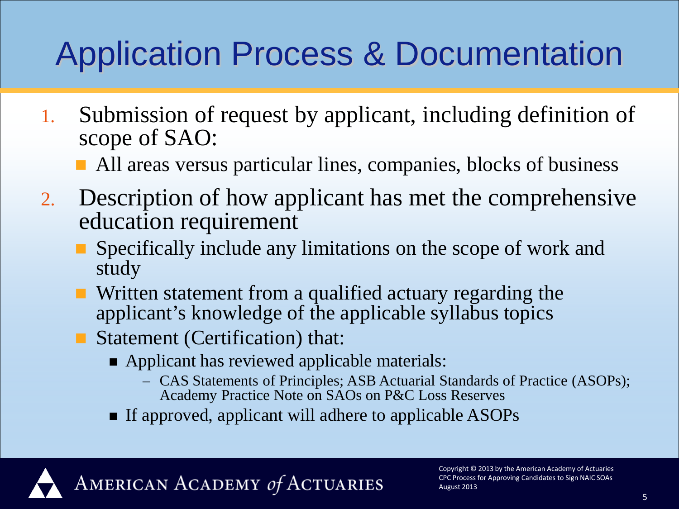# Application Process & Documentation

- 1. Submission of request by applicant, including definition of scope of SAO:
	- All areas versus particular lines, companies, blocks of business
- 2. Description of how applicant has met the comprehensive education requirement
	- Specifically include any limitations on the scope of work and study
	- **N** Written statement from a qualified actuary regarding the applicant's knowledge of the applicable syllabus topics
	- Statement (Certification) that:
		- Applicant has reviewed applicable materials:
			- CAS Statements of Principles; ASB Actuarial Standards of Practice (ASOPs); Academy Practice Note on SAOs on P&C Loss Reserves
		- If approved, applicant will adhere to applicable ASOPs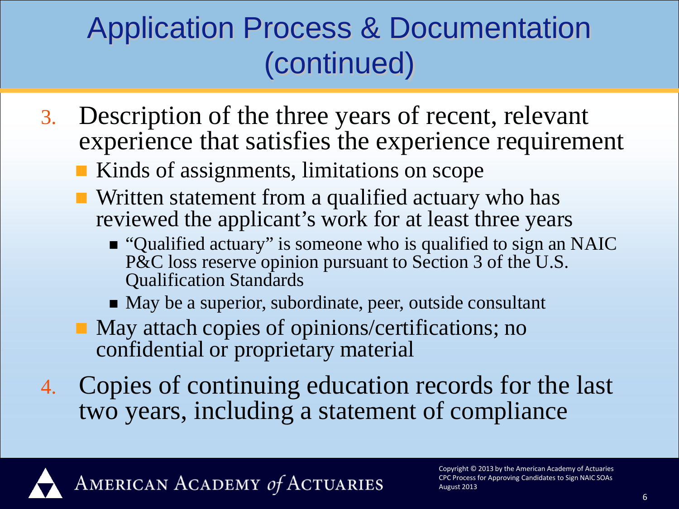## Application Process & Documentation (continued)

- 3. Description of the three years of recent, relevant experience that satisfies the experience requirement
	- Kinds of assignments, limitations on scope
	- **Written statement from a qualified actuary who has** reviewed the applicant's work for at least three years
		- "Qualified actuary" is someone who is qualified to sign an NAIC P&C loss reserve opinion pursuant to Section 3 of the U.S. Qualification Standards
		- May be a superior, subordinate, peer, outside consultant
	- May attach copies of opinions/certifications; no confidential or proprietary material
- 4. Copies of continuing education records for the last two years, including a statement of compliance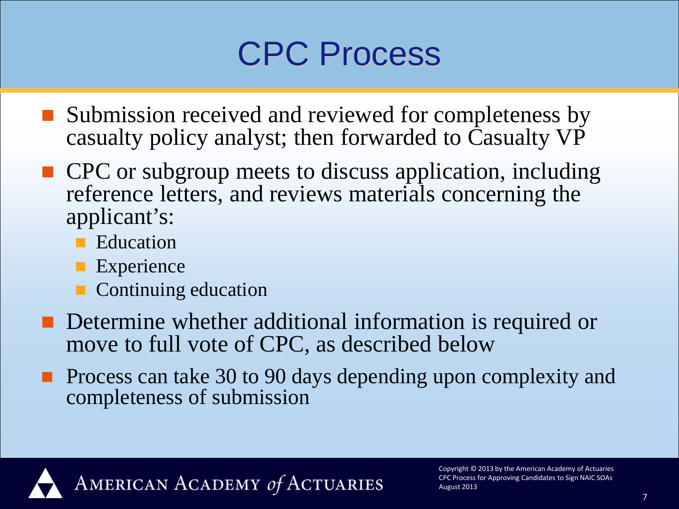## CPC Process

- Submission received and reviewed for completeness by casualty policy analyst; then forwarded to Casualty VP
- CPC or subgroup meets to discuss application, including reference letters, and reviews materials concerning the applicant's:
	- **E**ducation
	- **Experience**
	- Continuing education
- **Determine whether additional information is required or** move to full vote of CPC, as described below
- **Process can take 30 to 90 days depending upon complexity and** completeness of submission

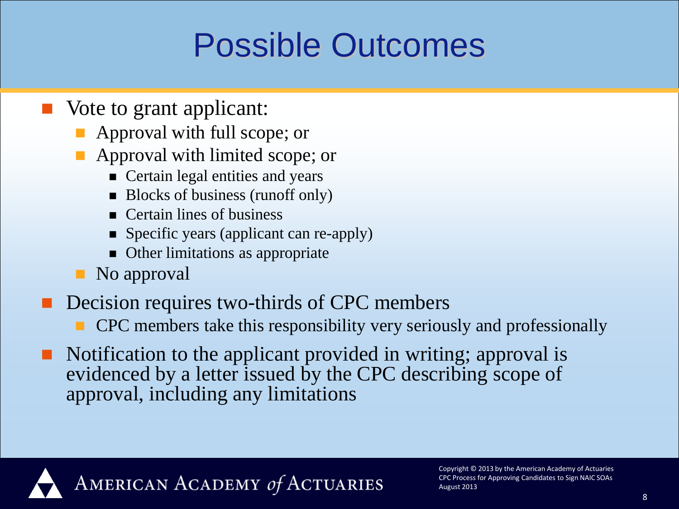## Possible Outcomes

- Vote to grant applicant:
	- **Approval with full scope; or**
	- Approval with limited scope; or
		- **Certain legal entities and years**
		- Blocks of business (runoff only)
		- **Certain lines of business**
		- Specific years (applicant can re-apply)
		- Other limitations as appropriate
	- **No** approval
- Decision requires two-thirds of CPC members
	- CPC members take this responsibility very seriously and professionally
- Notification to the applicant provided in writing; approval is evidenced by a letter issued by the CPC describing scope of approval, including any limitations